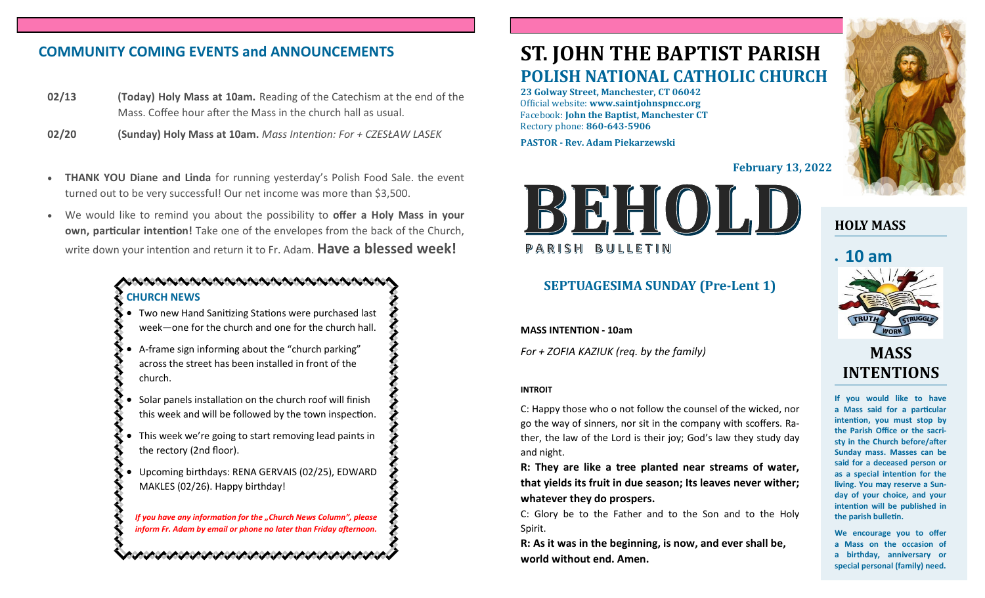# **COMMUNITY COMING EVENTS and ANNOUNCEMENTS**

- **02/13 (Today) Holy Mass at 10am.** Reading of the Catechism at the end of the Mass. Coffee hour after the Mass in the church hall as usual.
- **02/20 (Sunday) Holy Mass at 10am.** *Mass Intention: For + CZESŁAW LASEK*
- **THANK YOU Diane and Linda** for running yesterday's Polish Food Sale. the event turned out to be very successful! Our net income was more than \$3,500.
- We would like to remind you about the possibility to **offer a Holy Mass in your own, particular intention!** Take one of the envelopes from the back of the Church, write down your intention and return it to Fr. Adam. **Have a blessed week!**

#### **CHURCH NEWS**

- Two new Hand Sanitizing Stations were purchased last week—one for the church and one for the church hall.
- A-frame sign informing about the "church parking" across the street has been installed in front of the church.
- Solar panels installation on the church roof will finish this week and will be followed by the town inspection.
- This week we're going to start removing lead paints in the rectory (2nd floor).
- Upcoming birthdays: RENA GERVAIS (02/25), EDWARD MAKLES (02/26). Happy birthday!

*If you have any information for the "Church News Column", please inform Fr. Adam by email or phone no later than Friday afternoon.*

けいかんけいかいかんけいかいかんけいけい

# **ST. JOHN THE BAPTIST PARISH POLISH NATIONAL CATHOLIC CHURCH**

**23 Golway Street, Manchester, CT 06042** Official website: **www.saintjohnspncc.org** Facebook: **John the Baptist, Manchester CT** Rectory phone: **860-643-5906** 

**PASTOR - Rev. Adam Piekarzewski**

**February 13, 2022**



## **SEPTUAGESIMA SUNDAY (Pre-Lent 1)**

**MASS INTENTION - 10am**

*For + ZOFIA KAZIUK (req. by the family)*

#### **INTROIT**

C: Happy those who o not follow the counsel of the wicked, nor go the way of sinners, nor sit in the company with scoffers. Rather, the law of the Lord is their joy; God's law they study day and night.

**R: They are like a tree planted near streams of water, that yields its fruit in due season; Its leaves never wither; whatever they do prospers.**

C: Glory be to the Father and to the Son and to the Holy Spirit.

**R: As it was in the beginning, is now, and ever shall be, world without end. Amen.**



**HOLY MASS**

# • **10 am**



# **MASS INTENTIONS**

**If you would like to have a Mass said for a particular intention, you must stop by the Parish Office or the sacristy in the Church before/after Sunday mass. Masses can be said for a deceased person or as a special intention for the living. You may reserve a Sunday of your choice, and your intention will be published in the parish bulletin.**

**We encourage you to offer a Mass on the occasion of a birthday, anniversary or special personal (family) need.**